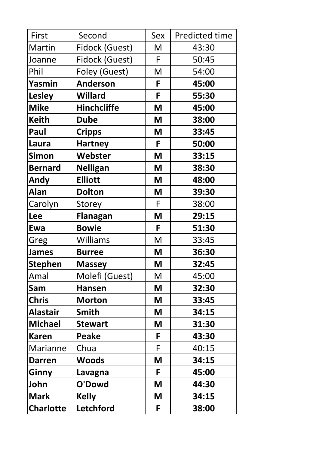| First            | Second             | <b>Sex</b> | <b>Predicted time</b> |
|------------------|--------------------|------------|-----------------------|
| Martin           | Fidock (Guest)     | M          | 43:30                 |
| Joanne           | Fidock (Guest)     | F          | 50:45                 |
| Phil             | Foley (Guest)      | M          | 54:00                 |
| Yasmin           | <b>Anderson</b>    | F          | 45:00                 |
| <b>Lesley</b>    | <b>Willard</b>     | F          | 55:30                 |
| <b>Mike</b>      | <b>Hinchcliffe</b> | M          | 45:00                 |
| <b>Keith</b>     | <b>Dube</b>        | Μ          | 38:00                 |
| Paul             | <b>Cripps</b>      | M          | 33:45                 |
| Laura            | <b>Hartney</b>     | F          | 50:00                 |
| <b>Simon</b>     | Webster            | M          | 33:15                 |
| <b>Bernard</b>   | <b>Nelligan</b>    | M          | 38:30                 |
| Andy             | <b>Elliott</b>     | M          | 48:00                 |
| Alan             | <b>Dolton</b>      | M          | 39:30                 |
| Carolyn          | Storey             | F          | 38:00                 |
| <b>Lee</b>       | <b>Flanagan</b>    | M          | 29:15                 |
| Ewa              | <b>Bowie</b>       | F          | 51:30                 |
| Greg             | <b>Williams</b>    | M          | 33:45                 |
| <b>James</b>     | <b>Burree</b>      | Μ          | 36:30                 |
| <b>Stephen</b>   | <b>Massey</b>      | Μ          | 32:45                 |
| Amal             | Molefi (Guest)     | M          | 45:00                 |
| Sam              | <b>Hansen</b>      | M          | 32:30                 |
| <b>Chris</b>     | <b>Morton</b>      | M          | 33:45                 |
| <b>Alastair</b>  | <b>Smith</b>       | Μ          | 34:15                 |
| <b>Michael</b>   | <b>Stewart</b>     | Μ          | 31:30                 |
| <b>Karen</b>     | <b>Peake</b>       | F          | 43:30                 |
| <b>Marianne</b>  | Chua               | F          | 40:15                 |
| <b>Darren</b>    | <b>Woods</b>       | M          | 34:15                 |
| Ginny            | Lavagna            | F          | 45:00                 |
| John             | O'Dowd             | M          | 44:30                 |
| <b>Mark</b>      | <b>Kelly</b>       | Μ          | 34:15                 |
| <b>Charlotte</b> | <b>Letchford</b>   | F          | 38:00                 |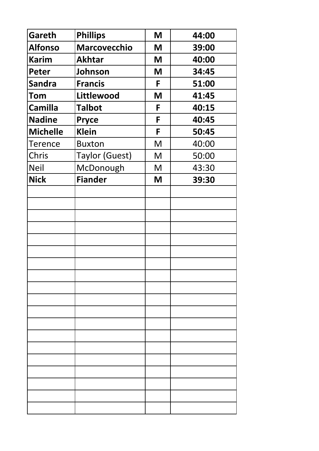| Gareth          | <b>Phillips</b>       | M | 44:00 |
|-----------------|-----------------------|---|-------|
| <b>Alfonso</b>  | <b>Marcovecchio</b>   | M | 39:00 |
| <b>Karim</b>    | <b>Akhtar</b>         | M | 40:00 |
| Peter           | Johnson               | Μ | 34:45 |
| <b>Sandra</b>   | <b>Francis</b>        | F | 51:00 |
| Tom             | Littlewood            | M | 41:45 |
| <b>Camilla</b>  | <b>Talbot</b>         | F | 40:15 |
| <b>Nadine</b>   | <b>Pryce</b>          | F | 40:45 |
| <b>Michelle</b> | <b>Klein</b>          | F | 50:45 |
| <b>Terence</b>  | <b>Buxton</b>         | M | 40:00 |
| Chris           | <b>Taylor (Guest)</b> | M | 50:00 |
| <b>Neil</b>     | McDonough             | M | 43:30 |
| <b>Nick</b>     | <b>Fiander</b>        | M | 39:30 |
|                 |                       |   |       |
|                 |                       |   |       |
|                 |                       |   |       |
|                 |                       |   |       |
|                 |                       |   |       |
|                 |                       |   |       |
|                 |                       |   |       |
|                 |                       |   |       |
|                 |                       |   |       |
|                 |                       |   |       |
|                 |                       |   |       |
|                 |                       |   |       |
|                 |                       |   |       |
|                 |                       |   |       |
|                 |                       |   |       |
|                 |                       |   |       |
|                 |                       |   |       |
|                 |                       |   |       |
|                 |                       |   |       |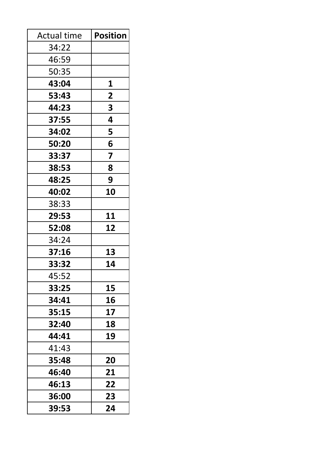| <b>Actual time</b> | <b>Position</b> |
|--------------------|-----------------|
| 34:22              |                 |
| 46:59              |                 |
| 50:35              |                 |
| 43:04              | 1               |
| 53:43              | $\overline{2}$  |
| 44:23              | 3               |
| 37:55              | 4               |
| 34:02              | 5               |
| 50:20              | 6               |
| 33:37              | 7               |
| 38:53              | 8               |
| 48:25              | 9               |
| 40:02              | 10              |
| 38:33              |                 |
| 29:53              | 11              |
| 52:08              | 12              |
| 34:24              |                 |
| 37:16              | 13              |
| 33:32              | 14              |
| 45:52              |                 |
| 33:25              | 15              |
| 34:41              | 16              |
| 35:15              | 17              |
| 32:40              | 18              |
| 44:41              | 19              |
| 41:43              |                 |
| 35:48              | 20              |
| 46:40              | 21              |
| 46:13              | 22              |
| 36:00              | 23              |
| 39:53              | 24              |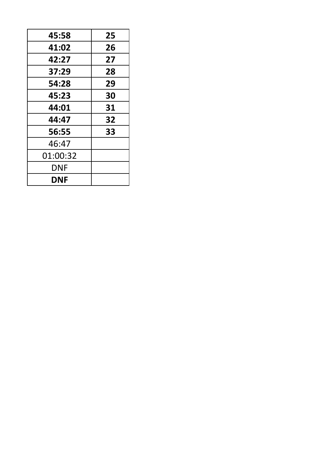| 45:58    | 25 |
|----------|----|
| 41:02    | 26 |
| 42:27    | 27 |
| 37:29    | 28 |
| 54:28    | 29 |
| 45:23    | 30 |
| 44:01    | 31 |
| 44:47    | 32 |
| 56:55    | 33 |
| 46:47    |    |
| 01:00:32 |    |
| DNF      |    |
| DNF      |    |